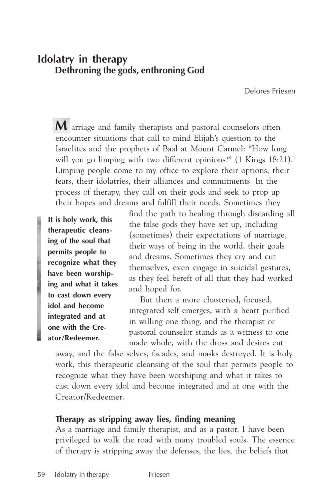# **Idolatry in therapy Dethroning the gods, enthroning God**

Delores Friesen

**M** arriage and family therapists and pastoral counselors often encounter situations that call to mind Elijah's question to the Israelites and the prophets of Baal at Mount Carmel: "How long will you go limping with two different opinions?" (1 Kings 18:21).<sup>1</sup> Limping people come to my office to explore their options, their fears, their idolatries, their alliances and commitments. In the process of therapy, they call on their gods and seek to prop up their hopes and dreams and fulfill their needs. Sometimes they

**It is holy work, this therapeutic cleansing of the soul that permits people to recognize what they have been worshiping and what it takes to cast down every idol and become integrated and at one with the Creator/Redeemer.**

find the path to healing through discarding all the false gods they have set up, including (sometimes) their expectations of marriage, their ways of being in the world, their goals and dreams. Sometimes they cry and cut themselves, even engage in suicidal gestures, as they feel bereft of all that they had worked and hoped for.

But then a more chastened, focused, integrated self emerges, with a heart purified in willing one thing, and the therapist or pastoral counselor stands as a witness to one made whole, with the dross and desires cut

away, and the false selves, facades, and masks destroyed. It is holy work, this therapeutic cleansing of the soul that permits people to recognize what they have been worshiping and what it takes to cast down every idol and become integrated and at one with the Creator/Redeemer.

### **Therapy as stripping away lies, finding meaning**

As a marriage and family therapist, and as a pastor, I have been privileged to walk the road with many troubled souls. The essence of therapy is stripping away the defenses, the lies, the beliefs that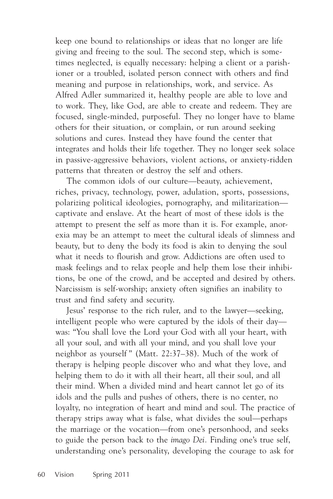keep one bound to relationships or ideas that no longer are life giving and freeing to the soul. The second step, which is sometimes neglected, is equally necessary: helping a client or a parishioner or a troubled, isolated person connect with others and find meaning and purpose in relationships, work, and service. As Alfred Adler summarized it, healthy people are able to love and to work. They, like God, are able to create and redeem. They are focused, single-minded, purposeful. They no longer have to blame others for their situation, or complain, or run around seeking solutions and cures. Instead they have found the center that integrates and holds their life together. They no longer seek solace in passive-aggressive behaviors, violent actions, or anxiety-ridden patterns that threaten or destroy the self and others.

The common idols of our culture—beauty, achievement, riches, privacy, technology, power, adulation, sports, possessions, polarizing political ideologies, pornography, and militarization captivate and enslave. At the heart of most of these idols is the attempt to present the self as more than it is. For example, anorexia may be an attempt to meet the cultural ideals of slimness and beauty, but to deny the body its food is akin to denying the soul what it needs to flourish and grow. Addictions are often used to mask feelings and to relax people and help them lose their inhibitions, be one of the crowd, and be accepted and desired by others. Narcissism is self-worship; anxiety often signifies an inability to trust and find safety and security.

Jesus' response to the rich ruler, and to the lawyer—seeking, intelligent people who were captured by the idols of their day was: "You shall love the Lord your God with all your heart, with all your soul, and with all your mind, and you shall love your neighbor as yourself " (Matt. 22:37–38). Much of the work of therapy is helping people discover who and what they love, and helping them to do it with all their heart, all their soul, and all their mind. When a divided mind and heart cannot let go of its idols and the pulls and pushes of others, there is no center, no loyalty, no integration of heart and mind and soul. The practice of therapy strips away what is false, what divides the soul—perhaps the marriage or the vocation—from one's personhood, and seeks to guide the person back to the *imago Dei.* Finding one's true self, understanding one's personality, developing the courage to ask for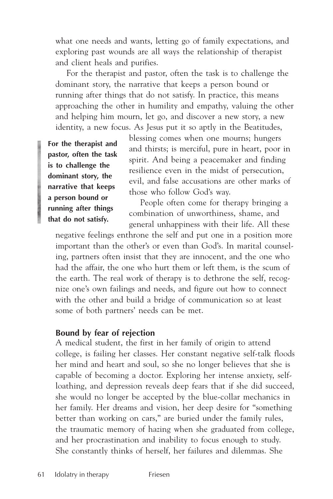what one needs and wants, letting go of family expectations, and exploring past wounds are all ways the relationship of therapist and client heals and purifies.

For the therapist and pastor, often the task is to challenge the dominant story, the narrative that keeps a person bound or running after things that do not satisfy. In practice, this means approaching the other in humility and empathy, valuing the other and helping him mourn, let go, and discover a new story, a new identity, a new focus. As Jesus put it so aptly in the Beatitudes,

**For the therapist and pastor, often the task is to challenge the dominant story, the narrative that keeps a person bound or running after things that do not satisfy.**

blessing comes when one mourns; hungers and thirsts; is merciful, pure in heart, poor in spirit. And being a peacemaker and finding resilience even in the midst of persecution, evil, and false accusations are other marks of those who follow God's way.

People often come for therapy bringing a combination of unworthiness, shame, and general unhappiness with their life. All these

negative feelings enthrone the self and put one in a position more important than the other's or even than God's. In marital counseling, partners often insist that they are innocent, and the one who had the affair, the one who hurt them or left them, is the scum of the earth. The real work of therapy is to dethrone the self, recognize one's own failings and needs, and figure out how to connect with the other and build a bridge of communication so at least some of both partners' needs can be met.

#### **Bound by fear of rejection**

A medical student, the first in her family of origin to attend college, is failing her classes. Her constant negative self-talk floods her mind and heart and soul, so she no longer believes that she is capable of becoming a doctor. Exploring her intense anxiety, selfloathing, and depression reveals deep fears that if she did succeed, she would no longer be accepted by the blue-collar mechanics in her family. Her dreams and vision, her deep desire for "something better than working on cars," are buried under the family rules, the traumatic memory of hazing when she graduated from college, and her procrastination and inability to focus enough to study. She constantly thinks of herself, her failures and dilemmas. She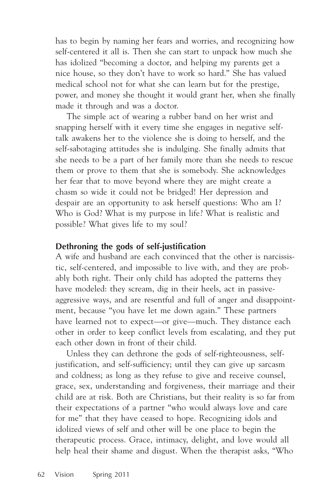has to begin by naming her fears and worries, and recognizing how self-centered it all is. Then she can start to unpack how much she has idolized "becoming a doctor, and helping my parents get a nice house, so they don't have to work so hard." She has valued medical school not for what she can learn but for the prestige, power, and money she thought it would grant her, when she finally made it through and was a doctor.

The simple act of wearing a rubber band on her wrist and snapping herself with it every time she engages in negative selftalk awakens her to the violence she is doing to herself, and the self-sabotaging attitudes she is indulging. She finally admits that she needs to be a part of her family more than she needs to rescue them or prove to them that she is somebody. She acknowledges her fear that to move beyond where they are might create a chasm so wide it could not be bridged! Her depression and despair are an opportunity to ask herself questions: Who am I? Who is God? What is my purpose in life? What is realistic and possible? What gives life to my soul?

### **Dethroning the gods of self-justification**

A wife and husband are each convinced that the other is narcissistic, self-centered, and impossible to live with, and they are probably both right. Their only child has adopted the patterns they have modeled: they scream, dig in their heels, act in passiveaggressive ways, and are resentful and full of anger and disappointment, because "you have let me down again." These partners have learned not to expect—or give—much. They distance each other in order to keep conflict levels from escalating, and they put each other down in front of their child.

Unless they can dethrone the gods of self-righteousness, selfjustification, and self-sufficiency; until they can give up sarcasm and coldness; as long as they refuse to give and receive counsel, grace, sex, understanding and forgiveness, their marriage and their child are at risk. Both are Christians, but their reality is so far from their expectations of a partner "who would always love and care for me" that they have ceased to hope. Recognizing idols and idolized views of self and other will be one place to begin the therapeutic process. Grace, intimacy, delight, and love would all help heal their shame and disgust. When the therapist asks, "Who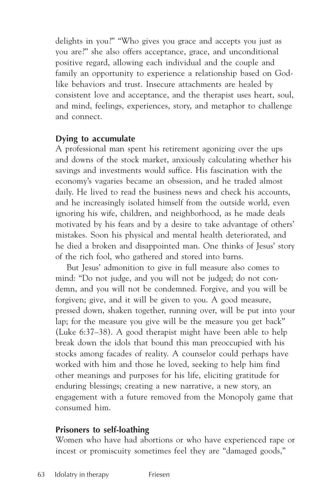delights in you?" "Who gives you grace and accepts you just as you are?" she also offers acceptance, grace, and unconditional positive regard, allowing each individual and the couple and family an opportunity to experience a relationship based on Godlike behaviors and trust. Insecure attachments are healed by consistent love and acceptance, and the therapist uses heart, soul, and mind, feelings, experiences, story, and metaphor to challenge and connect.

### **Dying to accumulate**

A professional man spent his retirement agonizing over the ups and downs of the stock market, anxiously calculating whether his savings and investments would suffice. His fascination with the economy's vagaries became an obsession, and he traded almost daily. He lived to read the business news and check his accounts, and he increasingly isolated himself from the outside world, even ignoring his wife, children, and neighborhood, as he made deals motivated by his fears and by a desire to take advantage of others' mistakes. Soon his physical and mental health deteriorated, and he died a broken and disappointed man. One thinks of Jesus' story of the rich fool, who gathered and stored into barns.

But Jesus' admonition to give in full measure also comes to mind: "Do not judge, and you will not be judged; do not condemn, and you will not be condemned. Forgive, and you will be forgiven; give, and it will be given to you. A good measure, pressed down, shaken together, running over, will be put into your lap; for the measure you give will be the measure you get back" (Luke 6:37–38). A good therapist might have been able to help break down the idols that bound this man preoccupied with his stocks among facades of reality. A counselor could perhaps have worked with him and those he loved, seeking to help him find other meanings and purposes for his life, eliciting gratitude for enduring blessings; creating a new narrative, a new story, an engagement with a future removed from the Monopoly game that consumed him.

### **Prisoners to self-loathing**

Women who have had abortions or who have experienced rape or incest or promiscuity sometimes feel they are "damaged goods,"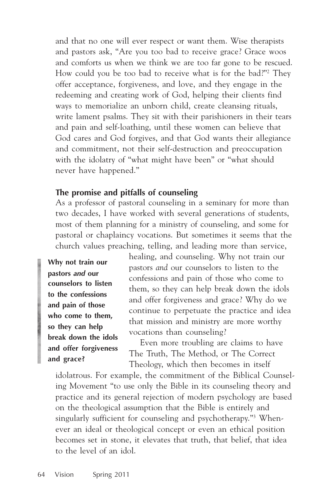and that no one will ever respect or want them. Wise therapists and pastors ask, "Are you too bad to receive grace? Grace woos and comforts us when we think we are too far gone to be rescued. How could you be too bad to receive what is for the bad?"2 They offer acceptance, forgiveness, and love, and they engage in the redeeming and creating work of God, helping their clients find ways to memorialize an unborn child, create cleansing rituals, write lament psalms. They sit with their parishioners in their tears and pain and self-loathing, until these women can believe that God cares and God forgives, and that God wants their allegiance and commitment, not their self-destruction and preoccupation with the idolatry of "what might have been" or "what should never have happened."

### **The promise and pitfalls of counseling**

As a professor of pastoral counseling in a seminary for more than two decades, I have worked with several generations of students, most of them planning for a ministry of counseling, and some for pastoral or chaplaincy vocations. But sometimes it seems that the church values preaching, telling, and leading more than service,

**Why not train our pastors** *and* **our counselors to listen to the confessions and pain of those who come to them, so they can help break down the idols and offer forgiveness and grace?**

healing, and counseling. Why not train our pastors *and* our counselors to listen to the confessions and pain of those who come to them, so they can help break down the idols and offer forgiveness and grace? Why do we continue to perpetuate the practice and idea that mission and ministry are more worthy vocations than counseling?

Even more troubling are claims to have The Truth, The Method, or The Correct Theology, which then becomes in itself

idolatrous. For example, the commitment of the Biblical Counseling Movement "to use only the Bible in its counseling theory and practice and its general rejection of modern psychology are based on the theological assumption that the Bible is entirely and singularly sufficient for counseling and psychotherapy."3 Whenever an ideal or theological concept or even an ethical position becomes set in stone, it elevates that truth, that belief, that idea to the level of an idol.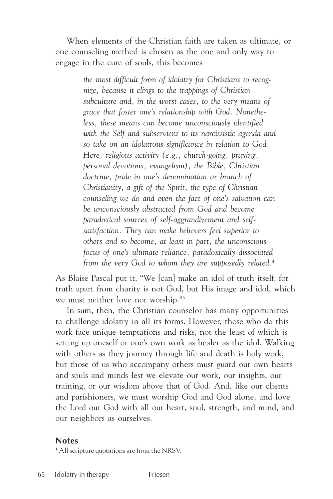When elements of the Christian faith are taken as ultimate, or one counseling method is chosen as the one and only way to engage in the cure of souls, this becomes

> *the most difficult form of idolatry for Christians to recognize, because it clings to the trappings of Christian subculture and, in the worst cases, to the very means of grace that foster one's relationship with God. Nonetheless, these means can become unconsciously identified with the Self and subservient to its narcissistic agenda and so take on an idolatrous significance in relation to God. Here, religious activity (e.g., church-going, praying, personal devotions, evangelism), the Bible, Christian doctrine, pride in one's denomination or branch of Christianity, a gift of the Spirit, the type of Christian counseling we do and even the fact of one's salvation can be unconsciously abstracted from God and become paradoxical sources of self-aggrandizement and selfsatisfaction. They can make believers feel superior to others and so become, at least in part, the unconscious focus of one's ultimate reliance, paradoxically dissociated from the very God to whom they are supposedly related.*<sup>4</sup>

As Blaise Pascal put it, "We [can] make an idol of truth itself, for truth apart from charity is not God, but His image and idol, which we must neither love nor worship."5

In sum, then, the Christian counselor has many opportunities to challenge idolatry in all its forms. However, those who do this work face unique temptations and risks, not the least of which is setting up oneself or one's own work as healer as the idol. Walking with others as they journey through life and death is holy work, but those of us who accompany others must guard our own hearts and souls and minds lest we elevate our work, our insights, our training, or our wisdom above that of God. And, like our clients and parishioners, we must worship God and God alone, and love the Lord our God with all our heart, soul, strength, and mind, and our neighbors as ourselves.

#### **Notes**

<sup>1</sup> All scripture quotations are from the NRSV.